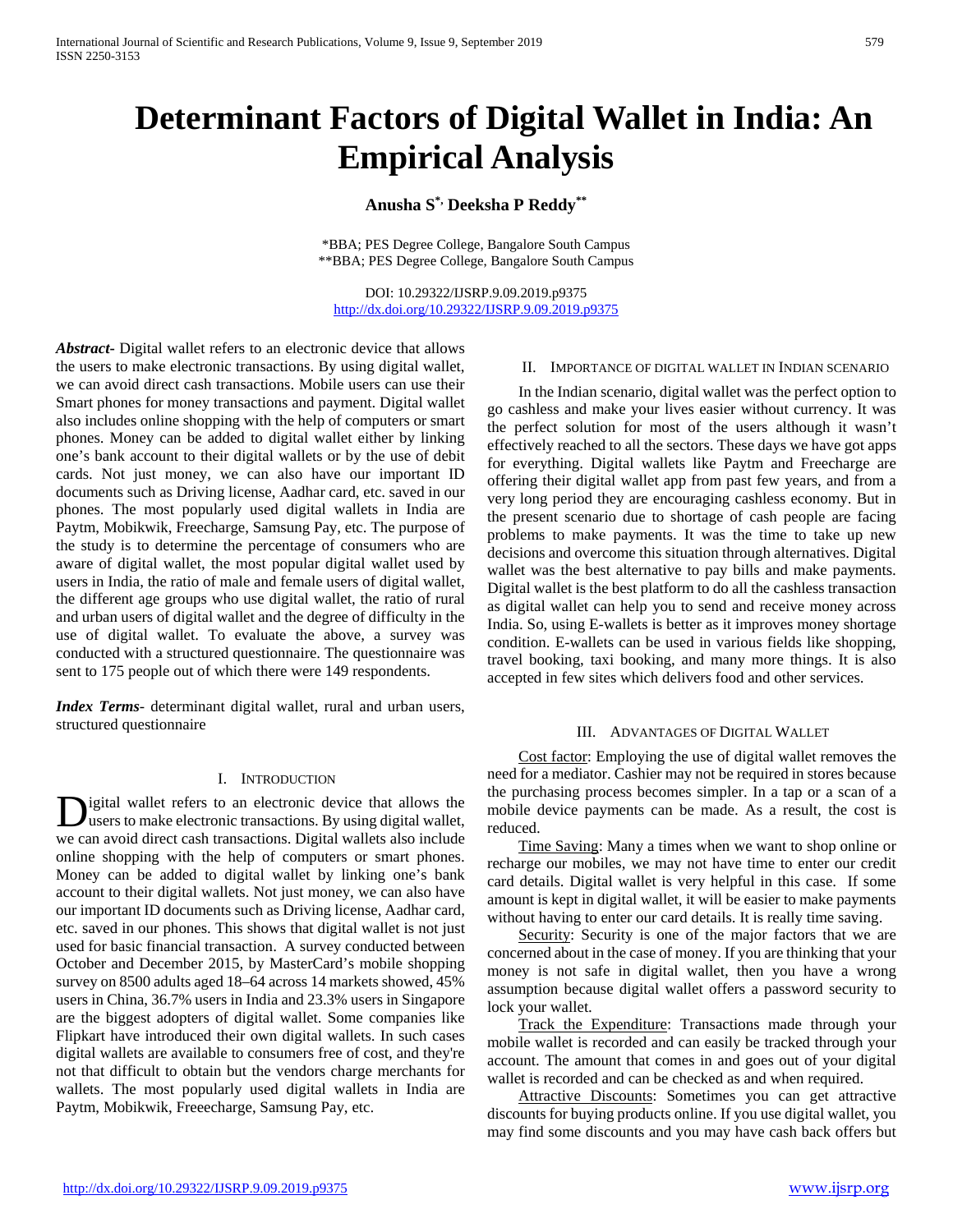# **Determinant Factors of Digital Wallet in India: An Empirical Analysis**

# **Anusha S\*, Deeksha P Reddy\*\***

\*BBA; PES Degree College, Bangalore South Campus \*\*BBA; PES Degree College, Bangalore South Campus

DOI: 10.29322/IJSRP.9.09.2019.p9375 <http://dx.doi.org/10.29322/IJSRP.9.09.2019.p9375>

*Abstract***-** Digital wallet refers to an electronic device that allows the users to make electronic transactions. By using digital wallet, we can avoid direct cash transactions. Mobile users can use their Smart phones for money transactions and payment. Digital wallet also includes online shopping with the help of computers or smart phones. Money can be added to digital wallet either by linking one's bank account to their digital wallets or by the use of debit cards. Not just money, we can also have our important ID documents such as Driving license, Aadhar card, etc. saved in our phones. The most popularly used digital wallets in India are Paytm, Mobikwik, Freecharge, Samsung Pay, etc. The purpose of the study is to determine the percentage of consumers who are aware of digital wallet, the most popular digital wallet used by users in India, the ratio of male and female users of digital wallet, the different age groups who use digital wallet, the ratio of rural and urban users of digital wallet and the degree of difficulty in the use of digital wallet. To evaluate the above, a survey was conducted with a structured questionnaire. The questionnaire was sent to 175 people out of which there were 149 respondents.

*Index Terms*- determinant digital wallet, rural and urban users, structured questionnaire

#### I. INTRODUCTION

igital wallet refers to an electronic device that allows the users to make electronic transactions. By using digital wallet, Digital wallet refers to an electronic device that allows the users to make electronic transactions. By using digital wallet, we can avoid direct cash transactions. Digital wallets also include online shopping with the help of computers or smart phones. Money can be added to digital wallet by linking one's bank account to their digital wallets. Not just money, we can also have our important ID documents such as Driving license, Aadhar card, etc. saved in our phones. This shows that digital wallet is not just used for basic financial transaction. A survey conducted between October and December 2015, by MasterCard's mobile shopping survey on 8500 adults aged 18–64 across 14 markets showed, 45% users in China, 36.7% users in India and 23.3% users in Singapore are the biggest adopters of digital wallet. Some companies like Flipkart have introduced their own digital wallets. In such cases digital wallets are available to consumers free of cost, and they're not that difficult to obtain but the vendors charge merchants for wallets. The most popularly used digital wallets in India are Paytm, Mobikwik, Freeecharge, Samsung Pay, etc.

#### II. IMPORTANCE OF DIGITAL WALLET IN INDIAN SCENARIO

 In the Indian scenario, digital wallet was the perfect option to go cashless and make your lives easier without currency. It was the perfect solution for most of the users although it wasn't effectively reached to all the sectors. These days we have got apps for everything. Digital wallets like Paytm and Freecharge are offering their digital wallet app from past few years, and from a very long period they are encouraging cashless economy. But in the present scenario due to shortage of cash people are facing problems to make payments. It was the time to take up new decisions and overcome this situation through alternatives. Digital wallet was the best alternative to pay bills and make payments. Digital wallet is the best platform to do all the cashless transaction as digital wallet can help you to send and receive money across India. So, using E-wallets is better as it improves money shortage condition. E-wallets can be used in various fields like shopping, travel booking, taxi booking, and many more things. It is also accepted in few sites which delivers food and other services.

#### III. ADVANTAGES OF DIGITAL WALLET

 Cost factor: Employing the use of digital wallet removes the need for a mediator. Cashier may not be required in stores because the purchasing process becomes simpler. In a tap or a scan of a mobile device payments can be made. As a result, the cost is reduced.

 Time Saving: Many a times when we want to shop online or recharge our mobiles, we may not have time to enter our credit card details. Digital wallet is very helpful in this case. If some amount is kept in digital wallet, it will be easier to make payments without having to enter our card details. It is really time saving.

 Security: Security is one of the major factors that we are concerned about in the case of money. If you are thinking that your money is not safe in digital wallet, then you have a wrong assumption because digital wallet offers a password security to lock your wallet.

 Track the Expenditure: Transactions made through your mobile wallet is recorded and can easily be tracked through your account. The amount that comes in and goes out of your digital wallet is recorded and can be checked as and when required.

 Attractive Discounts: Sometimes you can get attractive discounts for buying products online. If you use digital wallet, you may find some discounts and you may have cash back offers but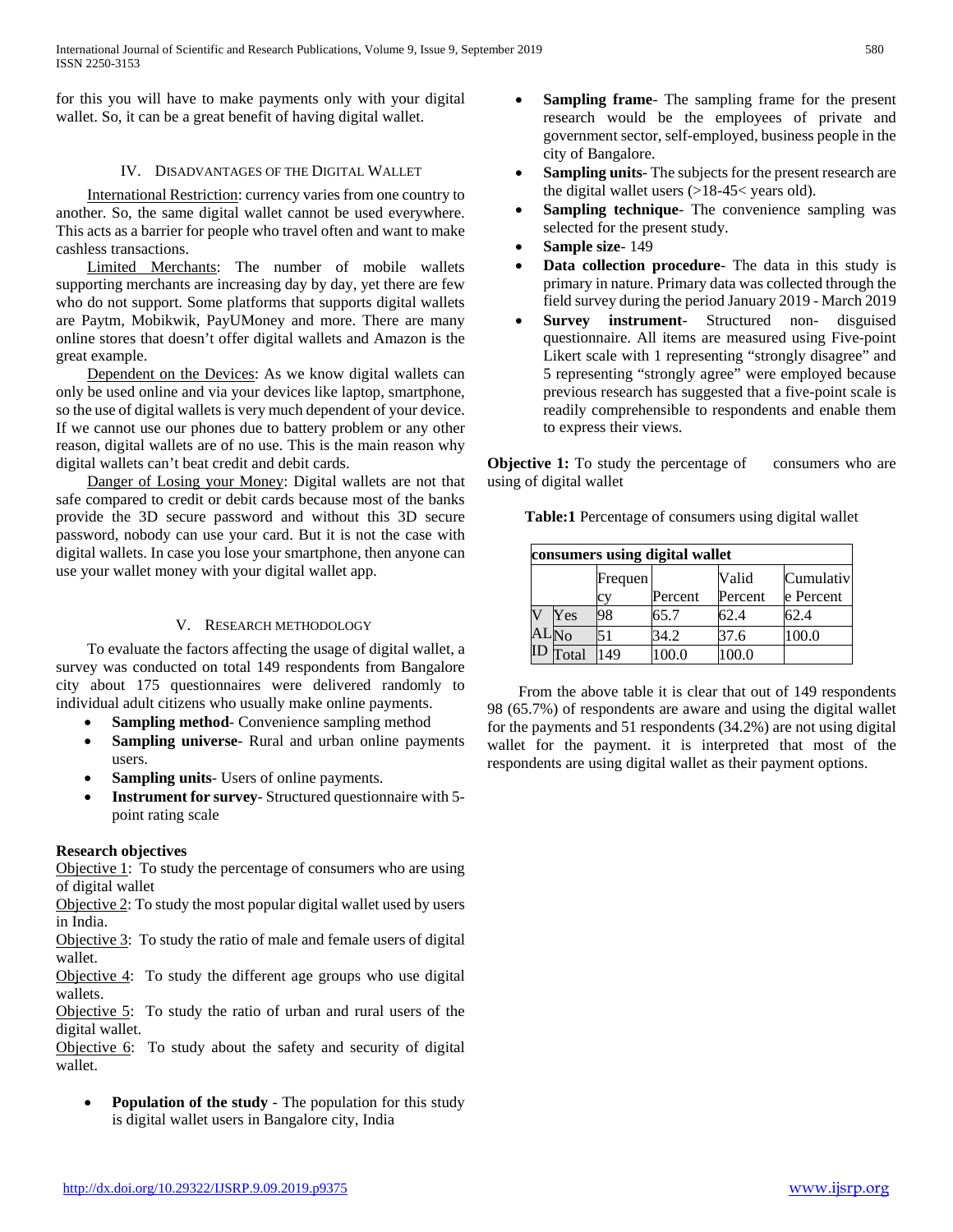for this you will have to make payments only with your digital wallet. So, it can be a great benefit of having digital wallet.

## IV. DISADVANTAGES OF THE DIGITAL WALLET

 International Restriction: currency varies from one country to another. So, the same digital wallet cannot be used everywhere. This acts as a barrier for people who travel often and want to make cashless transactions.

 Limited Merchants: The number of mobile wallets supporting merchants are increasing day by day, yet there are few who do not support. Some platforms that supports digital wallets are Paytm, Mobikwik, PayUMoney and more. There are many online stores that doesn't offer digital wallets and Amazon is the great example.

 Dependent on the Devices: As we know digital wallets can only be used online and via your devices like laptop, smartphone, so the use of digital wallets is very much dependent of your device. If we cannot use our phones due to battery problem or any other reason, digital wallets are of no use. This is the main reason why digital wallets can't beat credit and debit cards.

 Danger of Losing your Money: Digital wallets are not that safe compared to credit or debit cards because most of the banks provide the 3D secure password and without this 3D secure password, nobody can use your card. But it is not the case with digital wallets. In case you lose your smartphone, then anyone can use your wallet money with your digital wallet app.

## V. RESEARCH METHODOLOGY

 To evaluate the factors affecting the usage of digital wallet, a survey was conducted on total 149 respondents from Bangalore city about 175 questionnaires were delivered randomly to individual adult citizens who usually make online payments.

- **Sampling method-** Convenience sampling method
- **Sampling universe** Rural and urban online payments users.
- **Sampling units** Users of online payments.
- **Instrument for survey** Structured questionnaire with 5 point rating scale

## **Research objectives**

Objective 1: To study the percentage of consumers who are using of digital wallet

Objective 2: To study the most popular digital wallet used by users in India.

Objective 3: To study the ratio of male and female users of digital wallet.

Objective 4: To study the different age groups who use digital wallets.

Objective 5: To study the ratio of urban and rural users of the digital wallet.

Objective 6: To study about the safety and security of digital wallet.

• **Population of the study** - The population for this study is digital wallet users in Bangalore city, India

- **Sampling frame-** The sampling frame for the present research would be the employees of private and government sector, self-employed, business people in the city of Bangalore.
- **Sampling units**-The subjects for the present research are the digital wallet users (>18-45< years old).
- **Sampling technique** The convenience sampling was selected for the present study.
- **Sample size** 149
- **Data collection procedure** The data in this study is primary in nature. Primary data was collected through the field survey during the period January 2019 - March 2019
- **Survey instrument** Structured non- disguised questionnaire. All items are measured using Five-point Likert scale with 1 representing "strongly disagree" and 5 representing "strongly agree" were employed because previous research has suggested that a five-point scale is readily comprehensible to respondents and enable them to express their views.

**Objective 1:** To study the percentage of consumers who are using of digital wallet

**Table:1** Percentage of consumers using digital wallet

| consumers using digital wallet |               |         |         |         |           |  |  |
|--------------------------------|---------------|---------|---------|---------|-----------|--|--|
|                                |               | Frequen |         | Valid   | Cumulativ |  |  |
|                                |               | c٦      | Percent | Percent | e Percent |  |  |
| $\overline{\mathbf{V}}$        | Yes           | 98      | 65.7    | 62.4    | 62.4      |  |  |
|                                | $AL_{\rm No}$ | 51      | 34.2    | 37.6    | 100.0     |  |  |
| ID                             | Total         | 49      | 00.0    | 100.0   |           |  |  |

 From the above table it is clear that out of 149 respondents 98 (65.7%) of respondents are aware and using the digital wallet for the payments and 51 respondents (34.2%) are not using digital wallet for the payment. it is interpreted that most of the respondents are using digital wallet as their payment options.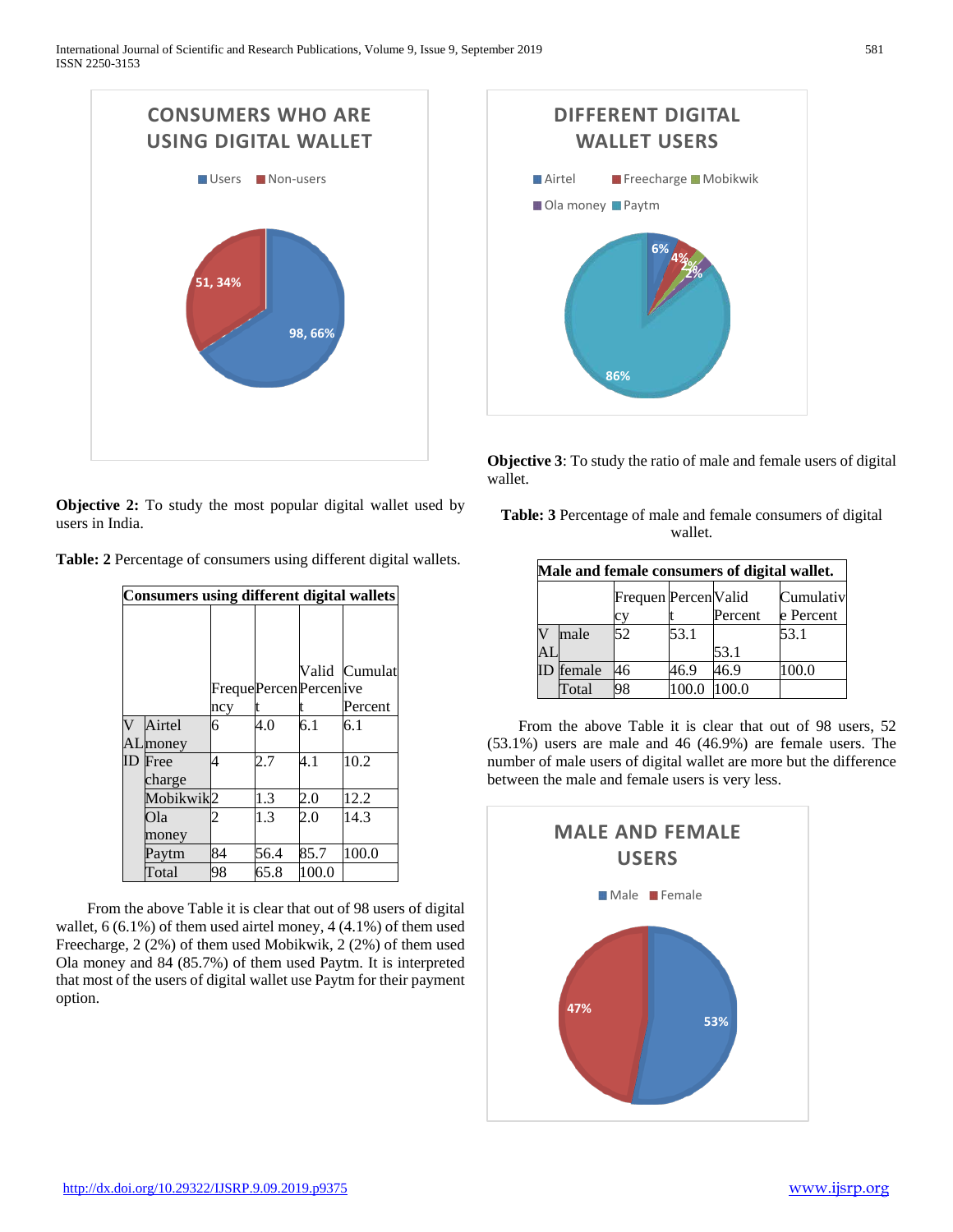

**Objective 2:** To study the most popular digital wallet used by users in India.

| Table: 2 Percentage of consumers using different digital wallets. |  |  |  |
|-------------------------------------------------------------------|--|--|--|
|-------------------------------------------------------------------|--|--|--|

| <b>Consumers using different digital wallets</b> |                          |     |      |                       |               |  |
|--------------------------------------------------|--------------------------|-----|------|-----------------------|---------------|--|
|                                                  |                          |     |      | FrequePercenPercenive | Valid Cumulat |  |
|                                                  |                          | ncy |      |                       | Percent       |  |
| $\overline{\text{V}}$                            | Airtel<br>ALmoney        | 6   | 4.0  | 6.1                   | 6.1           |  |
|                                                  | <b>ID</b> Free<br>charge | 4   | 2.7  | 4.1                   | 10.2          |  |
|                                                  | Mobikwik2                |     | 1.3  | 2.0                   | 12.2          |  |
|                                                  | Ola<br>money             |     | 1.3  | 2.0                   | 14.3          |  |
|                                                  | Paytm                    | 84  | 56.4 | 85.7                  | 100.0         |  |
|                                                  | Total                    | 98  | 65.8 | 100.0                 |               |  |

 From the above Table it is clear that out of 98 users of digital wallet, 6 (6.1%) of them used airtel money, 4 (4.1%) of them used Freecharge, 2 (2%) of them used Mobikwik, 2 (2%) of them used Ola money and 84 (85.7%) of them used Paytm. It is interpreted that most of the users of digital wallet use Paytm for their payment option.



**Objective 3**: To study the ratio of male and female users of digital wallet.

**Table: 3** Percentage of male and female consumers of digital wallet.

| Male and female consumers of digital wallet. |        |                            |      |         |                        |  |
|----------------------------------------------|--------|----------------------------|------|---------|------------------------|--|
|                                              |        | Frequen Percen Valid<br>cy |      | Percent | Cumulativ<br>e Percent |  |
|                                              | male   | 52                         | 53.1 |         | 53.1                   |  |
| AL                                           |        |                            |      | 53.1    |                        |  |
| ID                                           | female | 46                         | 46.9 | 46.9    | 100.0                  |  |
|                                              | Total  |                            |      | 100.0   |                        |  |

 From the above Table it is clear that out of 98 users, 52 (53.1%) users are male and 46 (46.9%) are female users. The number of male users of digital wallet are more but the difference between the male and female users is very less.

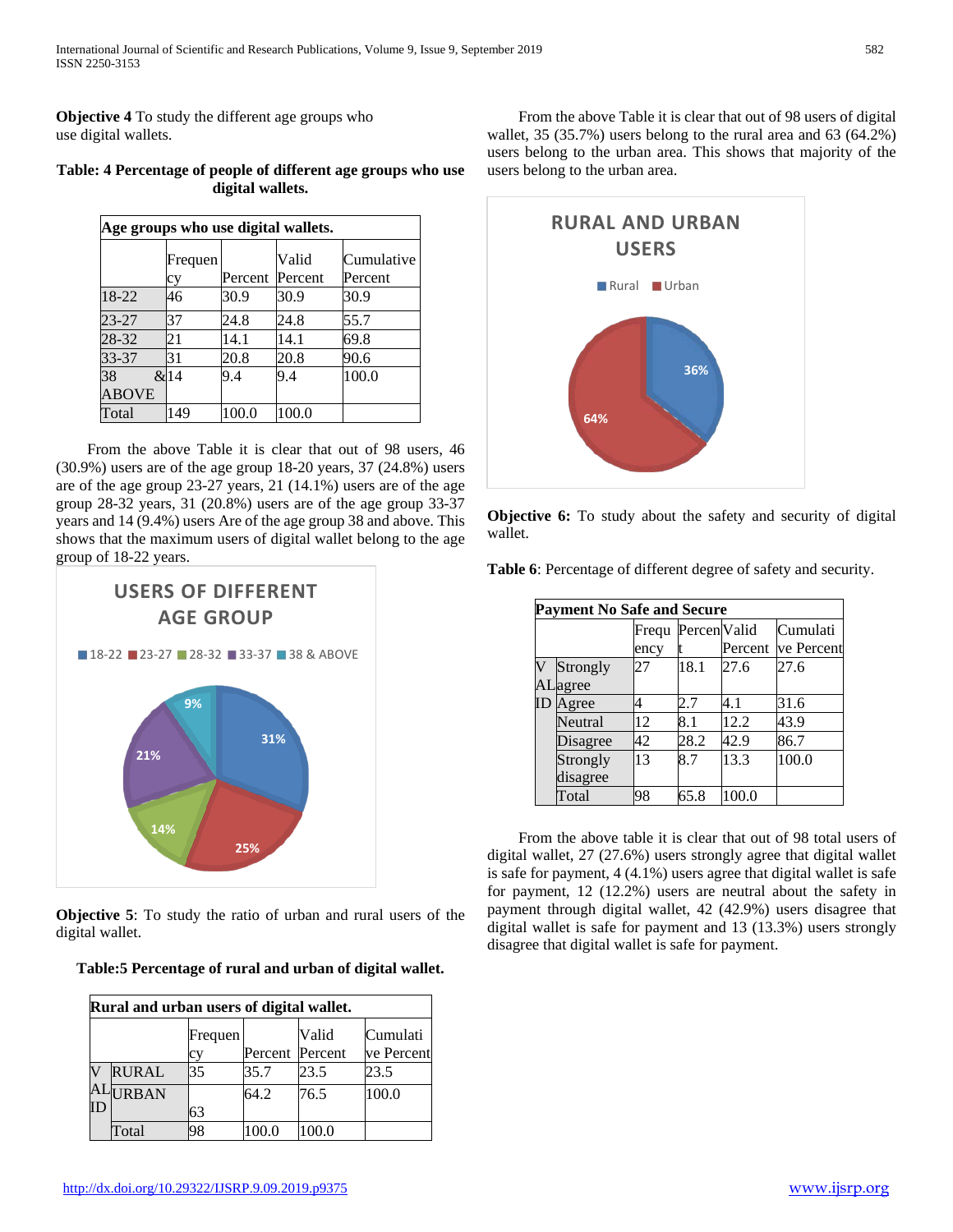**Objective 4** To study the different age groups who use digital wallets.

| Age groups who use digital wallets. |               |       |                          |                       |  |  |
|-------------------------------------|---------------|-------|--------------------------|-----------------------|--|--|
|                                     | Frequen<br>cy |       | Valid<br>Percent Percent | Cumulative<br>Percent |  |  |
| 18-22                               | 46            | 30.9  | 30.9                     | 30.9                  |  |  |
| 23-27                               | 37            | 24.8  | 24.8                     | 55.7                  |  |  |
| 28-32                               | 21            | 14.1  | 14.1                     | 69.8                  |  |  |
| 33-37                               | 31            | 20.8  | 20.8                     | 90.6                  |  |  |
| 38                                  | &14           | 9.4   | 9.4                      | 100.0                 |  |  |
| <b>ABOVE</b>                        |               |       |                          |                       |  |  |
| Total                               | 149           | 100.0 | 100.0                    |                       |  |  |

**Table: 4 Percentage of people of different age groups who use digital wallets.**

 From the above Table it is clear that out of 98 users, 46 (30.9%) users are of the age group 18-20 years, 37 (24.8%) users are of the age group 23-27 years, 21 (14.1%) users are of the age group 28-32 years, 31 (20.8%) users are of the age group 33-37 years and 14 (9.4%) users Are of the age group 38 and above. This shows that the maximum users of digital wallet belong to the age group of 18-22 years.



**Objective 5**: To study the ratio of urban and rural users of the digital wallet.

| Rural and urban users of digital wallet. |              |               |                 |       |                        |  |
|------------------------------------------|--------------|---------------|-----------------|-------|------------------------|--|
|                                          |              | Frequen<br>СV | Percent Percent | Valid | Cumulati<br>ve Percent |  |
|                                          | <b>RURAL</b> | 35            | 35.7            | 23.5  | 23.5                   |  |
| ID                                       | ALURBAN      | 63            | 64.2            | 76.5  | 100.0                  |  |
|                                          | Total        | 98            | 00.0            | 00.0  |                        |  |

 From the above Table it is clear that out of 98 users of digital wallet, 35 (35.7%) users belong to the rural area and 63 (64.2%) users belong to the urban area. This shows that majority of the users belong to the urban area.



**Objective 6:** To study about the safety and security of digital wallet.

**Table 6**: Percentage of different degree of safety and security.

|             | <b>Payment No Safe and Secure</b> |               |              |         |                        |  |  |
|-------------|-----------------------------------|---------------|--------------|---------|------------------------|--|--|
|             |                                   | Frequ<br>ency | Percen Valid | Percent | Cumulati<br>ve Percent |  |  |
|             | Strongly<br>ALagree               | 27            | 18.1         | 27.6    | 27.6                   |  |  |
| $_{\rm ID}$ | Agree                             |               | 2.7          | 4.1     | 31.6                   |  |  |
|             | Neutral                           | 12            | 8.1          | 12.2    | 43.9                   |  |  |
|             | Disagree                          | 42            | 28.2         | 42.9    | 86.7                   |  |  |
|             | Strongly<br>disagree              | 13            | 8.7          | 13.3    | 100.0                  |  |  |
|             | Total                             | 98            | 65.8         | 100.0   |                        |  |  |

 From the above table it is clear that out of 98 total users of digital wallet, 27 (27.6%) users strongly agree that digital wallet is safe for payment, 4 (4.1%) users agree that digital wallet is safe for payment, 12 (12.2%) users are neutral about the safety in payment through digital wallet, 42 (42.9%) users disagree that digital wallet is safe for payment and 13 (13.3%) users strongly disagree that digital wallet is safe for payment.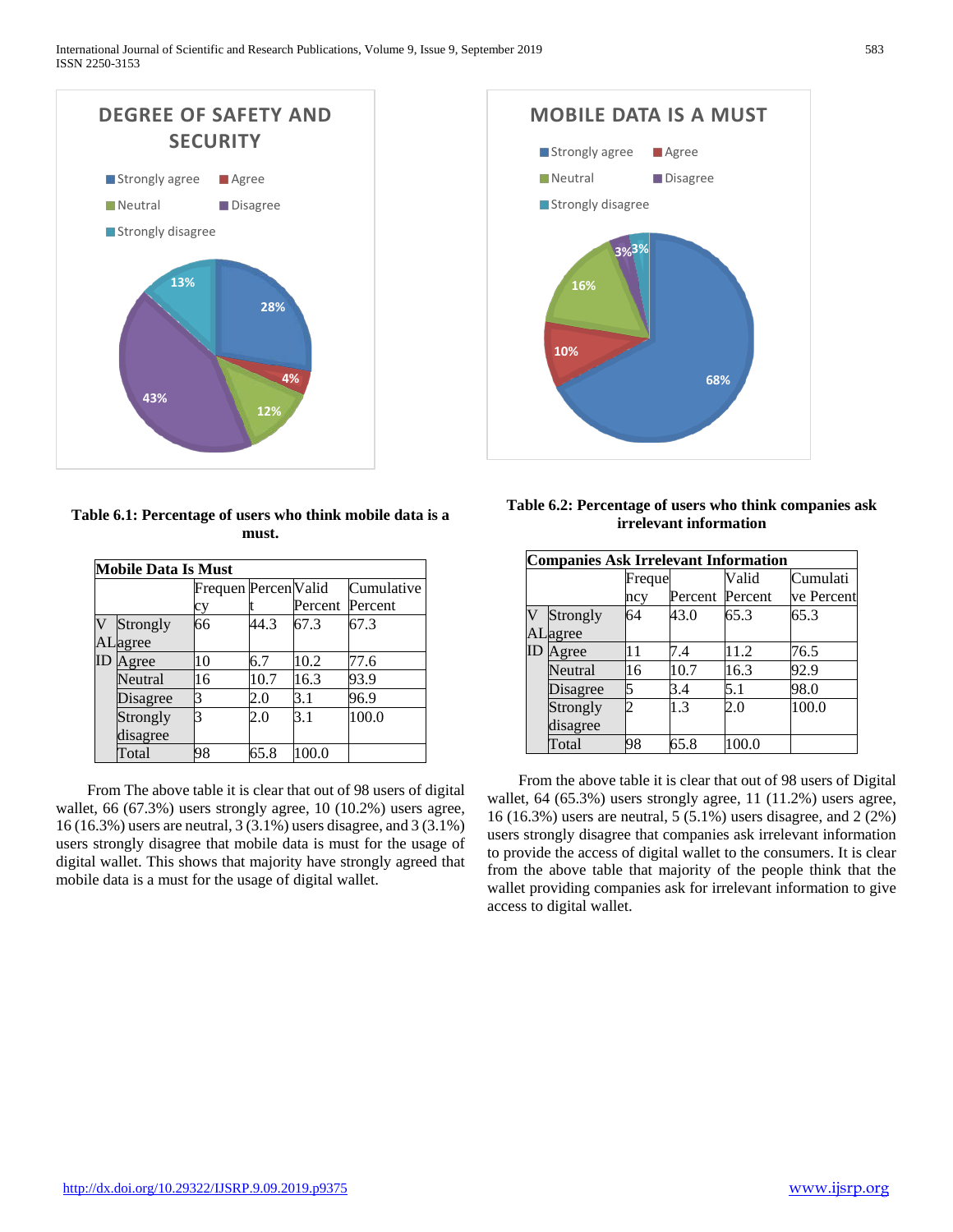

**Table 6.1: Percentage of users who think mobile data is a must.**

| Mobile Data Is Must         |                      |                      |      |                 |            |  |
|-----------------------------|----------------------|----------------------|------|-----------------|------------|--|
|                             |                      | Frequen Percen Valid |      |                 | Cumulative |  |
|                             |                      | cу                   |      | Percent Percent |            |  |
| $\overline{\text{V}}$<br>AI | Strongly<br>agree    | 66                   | 44.3 | 67.3            | 67.3       |  |
| ID                          | Agree                | 10                   | 6.7  | 10.2            | 77.6       |  |
|                             | Neutral              | 16                   | 10.7 | 16.3            | 93.9       |  |
|                             | Disagree             |                      | 2.0  | 3.1             | 96.9       |  |
|                             | Strongly<br>disagree |                      | 2.0  | 3.1             | 100.0      |  |
|                             | Total                | 98                   | 65.8 | 100.0           |            |  |

 From The above table it is clear that out of 98 users of digital wallet, 66 (67.3%) users strongly agree, 10 (10.2%) users agree, 16 (16.3%) users are neutral, 3 (3.1%) users disagree, and 3 (3.1%) users strongly disagree that mobile data is must for the usage of digital wallet. This shows that majority have strongly agreed that mobile data is a must for the usage of digital wallet.



| Table 6.2: Percentage of users who think companies ask |  |  |
|--------------------------------------------------------|--|--|
| <i>irrelevant information</i>                          |  |  |

|                         | <b>Companies Ask Irrelevant Information</b> |        |         |         |            |
|-------------------------|---------------------------------------------|--------|---------|---------|------------|
|                         |                                             | Freque |         | Valid   | Cumulati   |
|                         |                                             | ncy    | Percent | Percent | ve Percent |
| $\overline{\mathsf{V}}$ | Strongly                                    | 64     | 43.0    | 65.3    | 65.3       |
|                         | ALagree                                     |        |         |         |            |
| $_{\rm ID}$             | Agree                                       | 11     | 7.4     | 11.2    | 76.5       |
|                         | Neutral                                     | 16     | 10.7    | 16.3    | 92.9       |
|                         | <b>Disagree</b>                             |        | 3.4     | 5.1     | 98.0       |
|                         | Strongly                                    |        | 1.3     | 2.0     | 100.0      |
|                         | disagree                                    |        |         |         |            |
|                         | Total                                       | 98     | 65.8    | 100.0   |            |

 From the above table it is clear that out of 98 users of Digital wallet, 64 (65.3%) users strongly agree, 11 (11.2%) users agree, 16 (16.3%) users are neutral, 5 (5.1%) users disagree, and 2 (2%) users strongly disagree that companies ask irrelevant information to provide the access of digital wallet to the consumers. It is clear from the above table that majority of the people think that the wallet providing companies ask for irrelevant information to give access to digital wallet.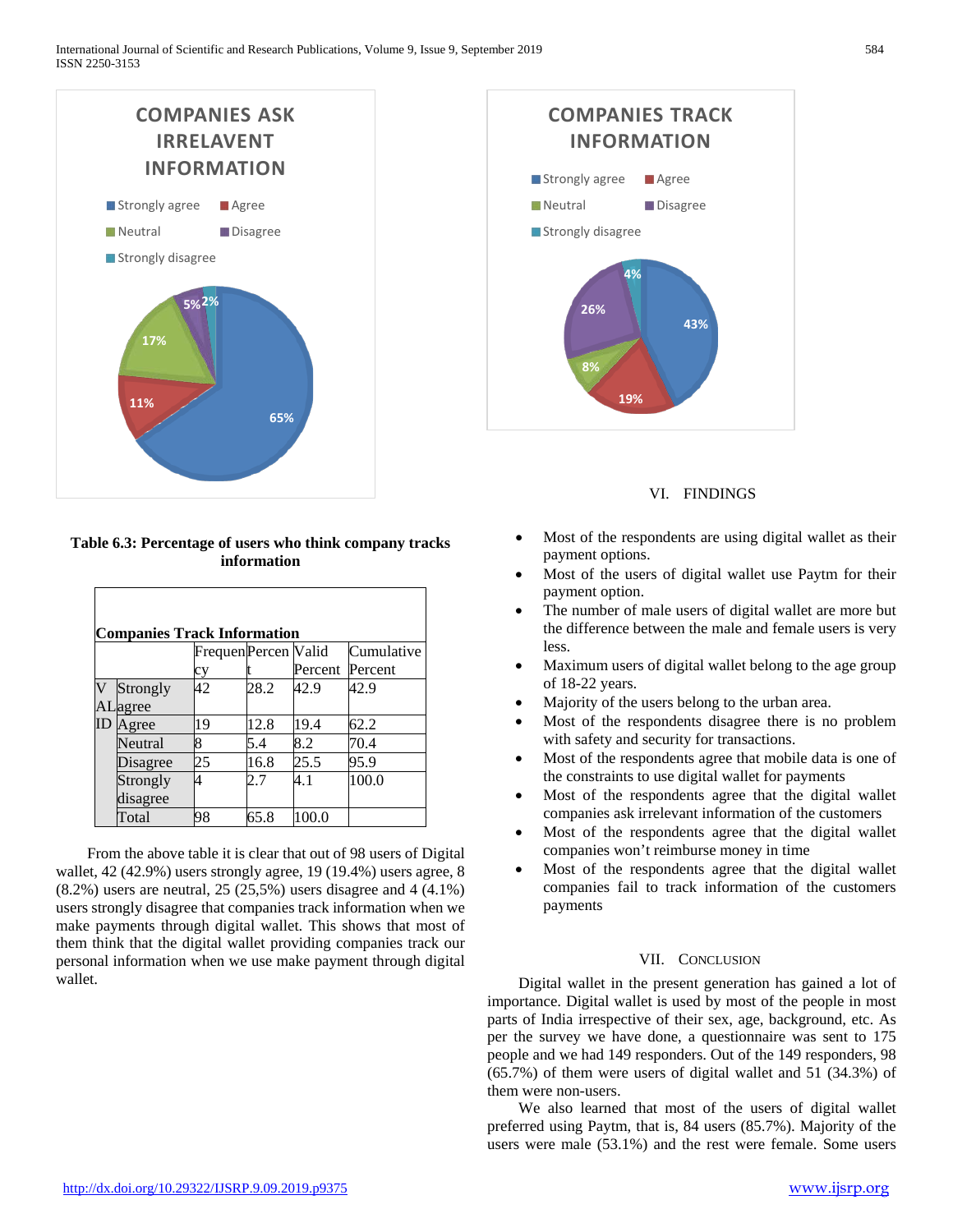

### **Table 6.3: Percentage of users who think company tracks information**

| <b>Companies Track Information</b> |                                    |    |      |         |         |  |  |  |
|------------------------------------|------------------------------------|----|------|---------|---------|--|--|--|
|                                    | Frequen Percen Valid<br>Cumulative |    |      |         |         |  |  |  |
|                                    |                                    | cy |      | Percent | Percent |  |  |  |
|                                    | Strongly<br>Lagree                 | 42 | 28.2 | 42.9    | 42.9    |  |  |  |
| ID                                 | Agree                              | 19 | 12.8 | 19.4    | 62.2    |  |  |  |
|                                    | Neutral                            |    | 5.4  | 8.2     | 70.4    |  |  |  |
|                                    | Disagree                           | 25 | 16.8 | 25.5    | 95.9    |  |  |  |
|                                    | Strongly<br>disagree               |    |      | 4.1     | 100.0   |  |  |  |
|                                    | Total                              | 98 | 65.8 | 100.0   |         |  |  |  |

 From the above table it is clear that out of 98 users of Digital wallet, 42 (42.9%) users strongly agree, 19 (19.4%) users agree, 8 (8.2%) users are neutral, 25 (25,5%) users disagree and 4 (4.1%) users strongly disagree that companies track information when we make payments through digital wallet. This shows that most of them think that the digital wallet providing companies track our personal information when we use make payment through digital wallet.



VI. FINDINGS

- Most of the respondents are using digital wallet as their payment options.
- Most of the users of digital wallet use Paytm for their payment option.
- The number of male users of digital wallet are more but the difference between the male and female users is very less.
- Maximum users of digital wallet belong to the age group of 18-22 years.
- Majority of the users belong to the urban area.
- Most of the respondents disagree there is no problem with safety and security for transactions.
- Most of the respondents agree that mobile data is one of the constraints to use digital wallet for payments
- Most of the respondents agree that the digital wallet companies ask irrelevant information of the customers
- Most of the respondents agree that the digital wallet companies won't reimburse money in time
- Most of the respondents agree that the digital wallet companies fail to track information of the customers payments

# VII. CONCLUSION

 Digital wallet in the present generation has gained a lot of importance. Digital wallet is used by most of the people in most parts of India irrespective of their sex, age, background, etc. As per the survey we have done, a questionnaire was sent to 175 people and we had 149 responders. Out of the 149 responders, 98 (65.7%) of them were users of digital wallet and 51 (34.3%) of them were non-users.

 We also learned that most of the users of digital wallet preferred using Paytm, that is, 84 users (85.7%). Majority of the users were male (53.1%) and the rest were female. Some users